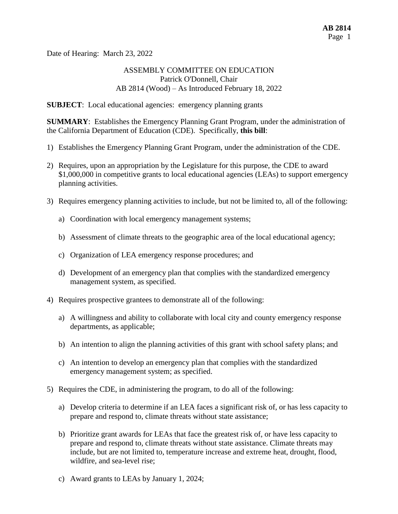Date of Hearing: March 23, 2022

## ASSEMBLY COMMITTEE ON EDUCATION Patrick O'Donnell, Chair AB 2814 (Wood) – As Introduced February 18, 2022

**SUBJECT**: Local educational agencies: emergency planning grants

**SUMMARY**: Establishes the Emergency Planning Grant Program, under the administration of the California Department of Education (CDE). Specifically, **this bill**:

- 1) Establishes the Emergency Planning Grant Program, under the administration of the CDE.
- 2) Requires, upon an appropriation by the Legislature for this purpose, the CDE to award \$1,000,000 in competitive grants to local educational agencies (LEAs) to support emergency planning activities.
- 3) Requires emergency planning activities to include, but not be limited to, all of the following:
	- a) Coordination with local emergency management systems;
	- b) Assessment of climate threats to the geographic area of the local educational agency;
	- c) Organization of LEA emergency response procedures; and
	- d) Development of an emergency plan that complies with the standardized emergency management system, as specified.
- 4) Requires prospective grantees to demonstrate all of the following:
	- a) A willingness and ability to collaborate with local city and county emergency response departments, as applicable;
	- b) An intention to align the planning activities of this grant with school safety plans; and
	- c) An intention to develop an emergency plan that complies with the standardized emergency management system; as specified.
- 5) Requires the CDE, in administering the program, to do all of the following:
	- a) Develop criteria to determine if an LEA faces a significant risk of, or has less capacity to prepare and respond to, climate threats without state assistance;
	- b) Prioritize grant awards for LEAs that face the greatest risk of, or have less capacity to prepare and respond to, climate threats without state assistance. Climate threats may include, but are not limited to, temperature increase and extreme heat, drought, flood, wildfire, and sea-level rise;
	- c) Award grants to LEAs by January 1, 2024;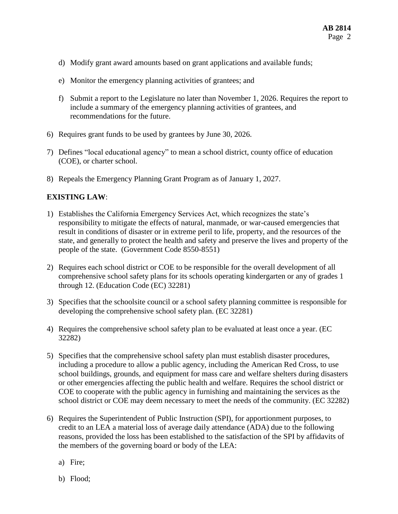- d) Modify grant award amounts based on grant applications and available funds;
- e) Monitor the emergency planning activities of grantees; and
- f) Submit a report to the Legislature no later than November 1, 2026. Requires the report to include a summary of the emergency planning activities of grantees, and recommendations for the future.
- 6) Requires grant funds to be used by grantees by June 30, 2026.
- 7) Defines "local educational agency" to mean a school district, county office of education (COE), or charter school.
- 8) Repeals the Emergency Planning Grant Program as of January 1, 2027.

# **EXISTING LAW**:

- 1) Establishes the California Emergency Services Act, which recognizes the state's responsibility to mitigate the effects of natural, manmade, or war-caused emergencies that result in conditions of disaster or in extreme peril to life, property, and the resources of the state, and generally to protect the health and safety and preserve the lives and property of the people of the state. (Government Code 8550-8551)
- 2) Requires each school district or COE to be responsible for the overall development of all comprehensive school safety plans for its schools operating kindergarten or any of grades 1 through 12. (Education Code (EC) 32281)
- 3) Specifies that the schoolsite council or a school safety planning committee is responsible for developing the comprehensive school safety plan. (EC 32281)
- 4) Requires the comprehensive school safety plan to be evaluated at least once a year. (EC 32282)
- 5) Specifies that the comprehensive school safety plan must establish disaster procedures, including a procedure to allow a public agency, including the American Red Cross, to use school buildings, grounds, and equipment for mass care and welfare shelters during disasters or other emergencies affecting the public health and welfare. Requires the school district or COE to cooperate with the public agency in furnishing and maintaining the services as the school district or COE may deem necessary to meet the needs of the community. (EC 32282)
- 6) Requires the Superintendent of Public Instruction (SPI), for apportionment purposes, to credit to an LEA a material loss of average daily attendance (ADA) due to the following reasons, provided the loss has been established to the satisfaction of the SPI by affidavits of the members of the governing board or body of the LEA:
	- a) Fire;
	- b) Flood;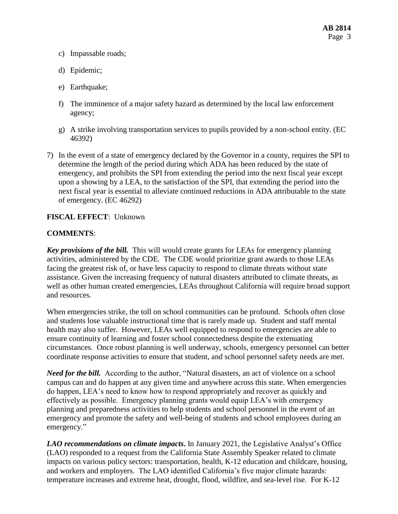- c) Impassable roads;
- d) Epidemic;
- e) Earthquake;
- f) The imminence of a major safety hazard as determined by the local law enforcement agency;
- g) A strike involving transportation services to pupils provided by a non-school entity. (EC 46392)
- 7) In the event of a state of emergency declared by the Governor in a county, requires the SPI to determine the length of the period during which ADA has been reduced by the state of emergency, and prohibits the SPI from extending the period into the next fiscal year except upon a showing by a LEA, to the satisfaction of the SPI, that extending the period into the next fiscal year is essential to alleviate continued reductions in ADA attributable to the state of emergency. (EC 46292)

#### **FISCAL EFFECT**: Unknown

#### **COMMENTS**:

*Key provisions of the bill.* This will would create grants for LEAs for emergency planning activities, administered by the CDE. The CDE would prioritize grant awards to those LEAs facing the greatest risk of, or have less capacity to respond to climate threats without state assistance. Given the increasing frequency of natural disasters attributed to climate threats, as well as other human created emergencies, LEAs throughout California will require broad support and resources.

When emergencies strike, the toll on school communities can be profound. Schools often close and students lose valuable instructional time that is rarely made up. Student and staff mental health may also suffer. However, LEAs well equipped to respond to emergencies are able to ensure continuity of learning and foster school connectedness despite the extenuating circumstances. Once robust planning is well underway, schools, emergency personnel can better coordinate response activities to ensure that student, and school personnel safety needs are met.

*Need for the bill.* According to the author, "Natural disasters, an act of violence on a school campus can and do happen at any given time and anywhere across this state. When emergencies do happen, LEA's need to know how to respond appropriately and recover as quickly and effectively as possible. Emergency planning grants would equip LEA's with emergency planning and preparedness activities to help students and school personnel in the event of an emergency and promote the safety and well-being of students and school employees during an emergency."

*LAO recommendations on climate impacts***.** In January 2021, the Legislative Analyst's Office (LAO) responded to a request from the California State Assembly Speaker related to climate impacts on various policy sectors: transportation, health, K-12 education and childcare, housing, and workers and employers. The LAO identified California's five major climate hazards: temperature increases and extreme heat, drought, flood, wildfire, and sea-level rise. For K-12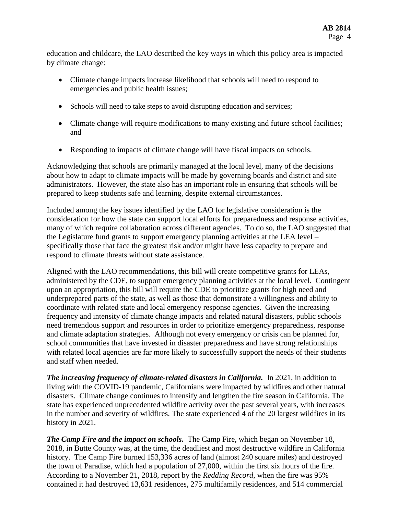education and childcare, the LAO described the key ways in which this policy area is impacted by climate change:

- Climate change impacts increase likelihood that schools will need to respond to emergencies and public health issues;
- Schools will need to take steps to avoid disrupting education and services;
- Climate change will require modifications to many existing and future school facilities; and
- Responding to impacts of climate change will have fiscal impacts on schools.

Acknowledging that schools are primarily managed at the local level, many of the decisions about how to adapt to climate impacts will be made by governing boards and district and site administrators. However, the state also has an important role in ensuring that schools will be prepared to keep students safe and learning, despite external circumstances.

Included among the key issues identified by the LAO for legislative consideration is the consideration for how the state can support local efforts for preparedness and response activities, many of which require collaboration across different agencies. To do so, the LAO suggested that the Legislature fund grants to support emergency planning activities at the LEA level – specifically those that face the greatest risk and/or might have less capacity to prepare and respond to climate threats without state assistance.

Aligned with the LAO recommendations, this bill will create competitive grants for LEAs, administered by the CDE, to support emergency planning activities at the local level. Contingent upon an appropriation, this bill will require the CDE to prioritize grants for high need and underprepared parts of the state, as well as those that demonstrate a willingness and ability to coordinate with related state and local emergency response agencies. Given the increasing frequency and intensity of climate change impacts and related natural disasters, public schools need tremendous support and resources in order to prioritize emergency preparedness, response and climate adaptation strategies. Although not every emergency or crisis can be planned for, school communities that have invested in disaster preparedness and have strong relationships with related local agencies are far more likely to successfully support the needs of their students and staff when needed.

*The increasing frequency of climate-related disasters in California.* In 2021, in addition to living with the COVID-19 pandemic, Californians were impacted by wildfires and other natural disasters. Climate change continues to intensify and lengthen the fire season in California. The state has experienced unprecedented wildfire activity over the past several years, with increases in the number and severity of wildfires. The state experienced 4 of the 20 largest wildfires in its history in 2021.

*The Camp Fire and the impact on schools.* The Camp Fire, which began on November 18, 2018, in Butte County was, at the time, the deadliest and most destructive wildfire in California history. The Camp Fire burned 153,336 acres of land (almost 240 square miles) and destroyed the town of Paradise, which had a population of 27,000, within the first six hours of the fire. According to a November 21, 2018, report by the *Redding Record*, when the fire was 95% contained it had destroyed 13,631 residences, 275 multifamily residences, and 514 commercial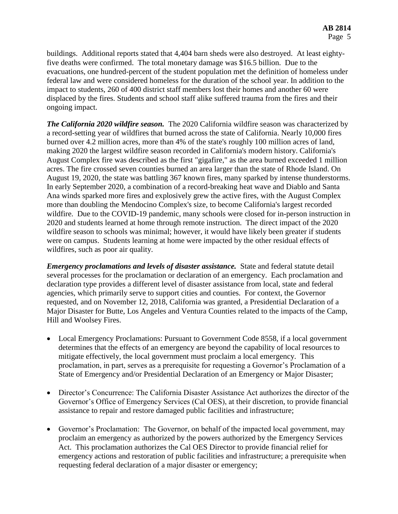buildings. Additional reports stated that 4,404 barn sheds were also destroyed. At least eightyfive deaths were confirmed. The total monetary damage was \$16.5 billion. Due to the evacuations, one hundred-percent of the student population met the definition of homeless under federal law and were considered homeless for the duration of the school year. In addition to the impact to students, 260 of 400 district staff members lost their homes and another 60 were displaced by the fires. Students and school staff alike suffered trauma from the fires and their ongoing impact.

*The California 2020 wildfire season.* The 2020 California wildfire season was characterized by a record-setting year of wildfires that burned across the state of California. Nearly 10,000 fires burned over 4.2 million acres, more than 4% of the state's roughly 100 million acres of land, making 2020 the largest wildfire season recorded in California's modern history. California's August Complex fire was described as the first "gigafire," as the area burned exceeded 1 million acres. The fire crossed seven counties burned an area larger than the state of Rhode Island. On August 19, 2020, the state was battling 367 known fires, many sparked by intense thunderstorms. In early September 2020, a combination of a record-breaking heat wave and Diablo and Santa Ana winds sparked more fires and explosively grew the active fires, with the August Complex more than doubling the Mendocino Complex's size, to become California's largest recorded wildfire. Due to the COVID-19 pandemic, many schools were closed for in-person instruction in 2020 and students learned at home through remote instruction. The direct impact of the 2020 wildfire season to schools was minimal; however, it would have likely been greater if students were on campus. Students learning at home were impacted by the other residual effects of wildfires, such as poor air quality.

*Emergency proclamations and levels of disaster assistance.* State and federal statute detail several processes for the proclamation or declaration of an emergency. Each proclamation and declaration type provides a different level of disaster assistance from local, state and federal agencies, which primarily serve to support cities and counties. For context, the Governor requested, and on November 12, 2018, California was granted, a Presidential Declaration of a Major Disaster for Butte, Los Angeles and Ventura Counties related to the impacts of the Camp, Hill and Woolsey Fires.

- Local Emergency Proclamations: Pursuant to Government Code 8558, if a local government determines that the effects of an emergency are beyond the capability of local resources to mitigate effectively, the local government must proclaim a local emergency. This proclamation, in part, serves as a prerequisite for requesting a Governor's Proclamation of a State of Emergency and/or Presidential Declaration of an Emergency or Major Disaster;
- Director's Concurrence: The California Disaster Assistance Act authorizes the director of the Governor's Office of Emergency Services (Cal OES), at their discretion, to provide financial assistance to repair and restore damaged public facilities and infrastructure;
- Governor's Proclamation: The Governor, on behalf of the impacted local government, may proclaim an emergency as authorized by the powers authorized by the Emergency Services Act. This proclamation authorizes the Cal OES Director to provide financial relief for emergency actions and restoration of public facilities and infrastructure; a prerequisite when requesting federal declaration of a major disaster or emergency;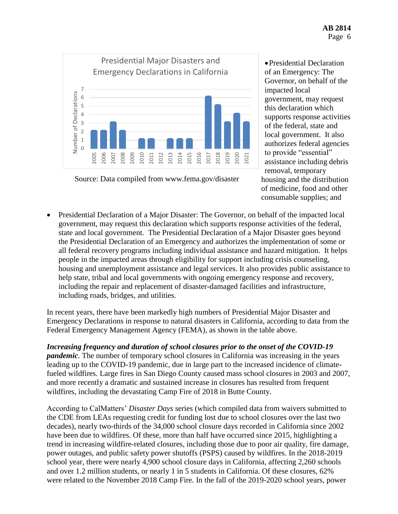

Source: Data compiled from www.fema.gov/disaster

Presidential Declaration of an Emergency: The Governor, on behalf of the impacted local government, may request this declaration which supports response activities of the federal, state and local government. It also authorizes federal agencies to provide "essential" assistance including debris removal, temporary housing and the distribution of medicine, food and other consumable supplies; and

 Presidential Declaration of a Major Disaster: The Governor, on behalf of the impacted local government, may request this declaration which supports response activities of the federal, state and local government. The Presidential Declaration of a Major Disaster goes beyond the Presidential Declaration of an Emergency and authorizes the implementation of some or all federal recovery programs including individual assistance and hazard mitigation. It helps people in the impacted areas through eligibility for support including crisis counseling, housing and unemployment assistance and legal services. It also provides public assistance to help state, tribal and local governments with ongoing emergency response and recovery, including the repair and replacement of disaster-damaged facilities and infrastructure, including roads, bridges, and utilities.

In recent years, there have been markedly high numbers of Presidential Major Disaster and Emergency Declarations in response to natural disasters in California, according to data from the Federal Emergency Management Agency (FEMA), as shown in the table above.

*Increasing frequency and duration of school closures prior to the onset of the COVID-19 pandemic*. The number of temporary school closures in California was increasing in the years leading up to the COVID-19 pandemic, due in large part to the increased incidence of climatefueled wildfires. Large fires in San Diego County caused mass school closures in 2003 and 2007, and more recently a dramatic and sustained increase in closures has resulted from frequent wildfires, including the devastating Camp Fire of 2018 in Butte County.

According to CalMatters' *Disaster Days* series (which compiled data from waivers submitted to the CDE from LEAs requesting credit for funding lost due to school closures over the last two decades), nearly two-thirds of the 34,000 school closure days recorded in California since 2002 have been due to wildfires. Of these, more than half have occurred since 2015, highlighting a trend in increasing wildfire-related closures, including those due to poor air quality, fire damage, power outages, and public safety power shutoffs (PSPS) caused by wildfires. In the 2018-2019 school year, there were nearly 4,900 school closure days in California, affecting 2,260 schools and over 1.2 million students, or nearly 1 in 5 students in California. Of these closures, 62% were related to the November 2018 Camp Fire. In the fall of the 2019-2020 school years, power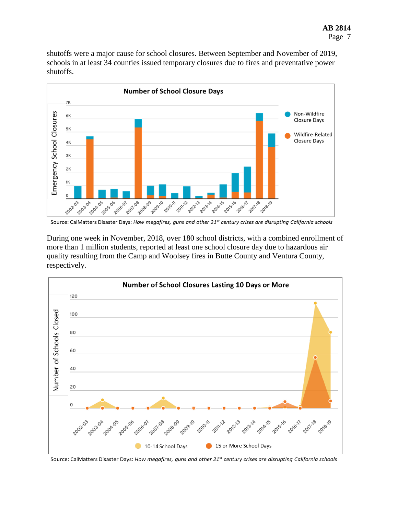shutoffs were a major cause for school closures. Between September and November of 2019, schools in at least 34 counties issued temporary closures due to fires and preventative power shutoffs.



Source: CalMatters Disaster Days: How megafires, guns and other 21<sup>st</sup> century crises are disrupting California schools

During one week in November, 2018, over 180 school districts, with a combined enrollment of more than 1 million students, reported at least one school closure day due to hazardous air quality resulting from the Camp and Woolsey fires in Butte County and Ventura County, respectively.



Source: CalMatters Disaster Days: How megafires, guns and other 21<sup>st</sup> century crises are disrupting California schools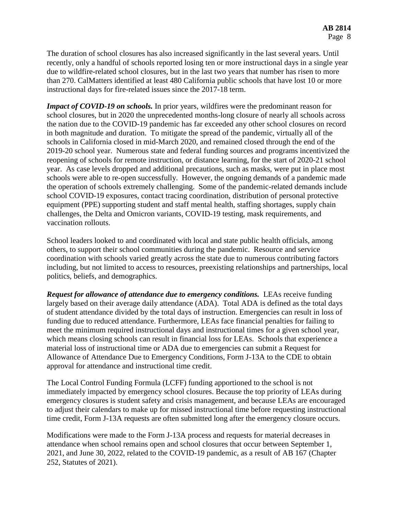The duration of school closures has also increased significantly in the last several years. Until recently, only a handful of schools reported losing ten or more instructional days in a single year due to wildfire-related school closures, but in the last two years that number has risen to more than 270. CalMatters identified at least 480 California public schools that have lost 10 or more instructional days for fire-related issues since the 2017-18 term.

*Impact of COVID-19 on schools.* In prior years, wildfires were the predominant reason for school closures, but in 2020 the unprecedented months-long closure of nearly all schools across the nation due to the COVID-19 pandemic has far exceeded any other school closures on record in both magnitude and duration. To mitigate the spread of the pandemic, virtually all of the schools in California closed in mid-March 2020, and remained closed through the end of the 2019-20 school year. Numerous state and federal funding sources and programs incentivized the reopening of schools for remote instruction, or distance learning, for the start of 2020-21 school year. As case levels dropped and additional precautions, such as masks, were put in place most schools were able to re-open successfully. However, the ongoing demands of a pandemic made the operation of schools extremely challenging. Some of the pandemic-related demands include school COVID-19 exposures, contact tracing coordination, distribution of personal protective equipment (PPE) supporting student and staff mental health, staffing shortages, supply chain challenges, the Delta and Omicron variants, COVID-19 testing, mask requirements, and vaccination rollouts.

School leaders looked to and coordinated with local and state public health officials, among others, to support their school communities during the pandemic. Resource and service coordination with schools varied greatly across the state due to numerous contributing factors including, but not limited to access to resources, preexisting relationships and partnerships, local politics, beliefs, and demographics.

*Request for allowance of attendance due to emergency conditions.* LEAs receive funding largely based on their average daily attendance (ADA). Total ADA is defined as the total days of student attendance divided by the total days of instruction. Emergencies can result in loss of funding due to reduced attendance. Furthermore, LEAs face financial penalties for failing to meet the minimum required instructional days and instructional times for a given school year, which means closing schools can result in financial loss for LEAs. Schools that experience a material loss of instructional time or ADA due to emergencies can submit a Request for Allowance of Attendance Due to Emergency Conditions, Form J-13A to the CDE to obtain approval for attendance and instructional time credit.

The Local Control Funding Formula (LCFF) funding apportioned to the school is not immediately impacted by emergency school closures. Because the top priority of LEAs during emergency closures is student safety and crisis management, and because LEAs are encouraged to adjust their calendars to make up for missed instructional time before requesting instructional time credit, Form J-13A requests are often submitted long after the emergency closure occurs.

Modifications were made to the Form J-13A process and requests for material decreases in attendance when school remains open and school closures that occur between September 1, 2021, and June 30, 2022, related to the COVID-19 pandemic, as a result of AB 167 (Chapter 252, Statutes of 2021).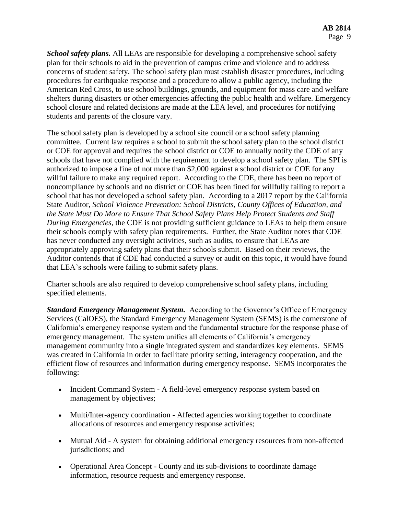*School safety plans.* All LEAs are responsible for developing a comprehensive school safety plan for their schools to aid in the prevention of campus crime and violence and to address concerns of student safety. The school safety plan must establish disaster procedures, including procedures for earthquake response and a procedure to allow a public agency, including the American Red Cross, to use school buildings, grounds, and equipment for mass care and welfare shelters during disasters or other emergencies affecting the public health and welfare. Emergency school closure and related decisions are made at the LEA level, and procedures for notifying students and parents of the closure vary.

The school safety plan is developed by a school site council or a school safety planning committee. Current law requires a school to submit the school safety plan to the school district or COE for approval and requires the school district or COE to annually notify the CDE of any schools that have not complied with the requirement to develop a school safety plan. The SPI is authorized to impose a fine of not more than \$2,000 against a school district or COE for any willful failure to make any required report. According to the CDE, there has been no report of noncompliance by schools and no district or COE has been fined for willfully failing to report a school that has not developed a school safety plan. According to a 2017 report by the California State Auditor, *School Violence Prevention: School Districts, County Offices of Education, and the State Must Do More to Ensure That School Safety Plans Help Protect Students and Staff During Emergencies,* the CDE is not providing sufficient guidance to LEAs to help them ensure their schools comply with safety plan requirements. Further, the State Auditor notes that CDE has never conducted any oversight activities, such as audits, to ensure that LEAs are appropriately approving safety plans that their schools submit. Based on their reviews, the Auditor contends that if CDE had conducted a survey or audit on this topic, it would have found that LEA's schools were failing to submit safety plans.

Charter schools are also required to develop comprehensive school safety plans, including specified elements.

*Standard Emergency Management System.* According to the Governor's Office of Emergency Services (CalOES), the Standard Emergency Management System (SEMS) is the cornerstone of California's emergency response system and the fundamental structure for the response phase of emergency management. The system unifies all elements of California's emergency management community into a single integrated system and standardizes key elements. SEMS was created in California in order to facilitate priority setting, interagency cooperation, and the efficient flow of resources and information during emergency response. SEMS incorporates the following:

- Incident Command System A field-level emergency response system based on management by objectives;
- Multi/Inter-agency coordination Affected agencies working together to coordinate allocations of resources and emergency response activities;
- Mutual Aid A system for obtaining additional emergency resources from non-affected jurisdictions; and
- Operational Area Concept County and its sub-divisions to coordinate damage information, resource requests and emergency response.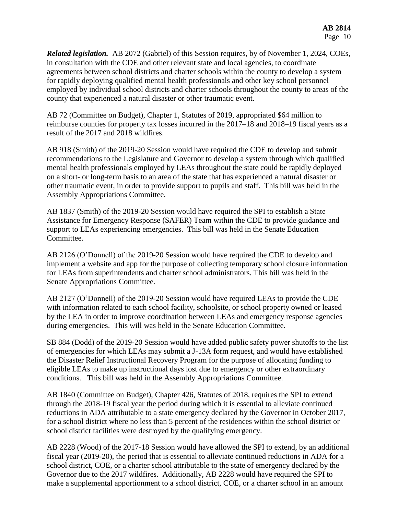*Related legislation.* AB 2072 (Gabriel) of this Session requires, by of November 1, 2024, COEs, in consultation with the CDE and other relevant state and local agencies, to coordinate agreements between school districts and charter schools within the county to develop a system for rapidly deploying qualified mental health professionals and other key school personnel employed by individual school districts and charter schools throughout the county to areas of the county that experienced a natural disaster or other traumatic event.

AB 72 (Committee on Budget), Chapter 1, Statutes of 2019, appropriated \$64 million to reimburse counties for property tax losses incurred in the 2017–18 and 2018–19 fiscal years as a result of the 2017 and 2018 wildfires.

AB 918 (Smith) of the 2019-20 Session would have required the CDE to develop and submit recommendations to the Legislature and Governor to develop a system through which qualified mental health professionals employed by LEAs throughout the state could be rapidly deployed on a short- or long-term basis to an area of the state that has experienced a natural disaster or other traumatic event, in order to provide support to pupils and staff. This bill was held in the Assembly Appropriations Committee.

AB 1837 (Smith) of the 2019-20 Session would have required the SPI to establish a State Assistance for Emergency Response (SAFER) Team within the CDE to provide guidance and support to LEAs experiencing emergencies. This bill was held in the Senate Education Committee.

AB 2126 (O'Donnell) of the 2019-20 Session would have required the CDE to develop and implement a website and app for the purpose of collecting temporary school closure information for LEAs from superintendents and charter school administrators. This bill was held in the Senate Appropriations Committee.

AB 2127 (O'Donnell) of the 2019-20 Session would have required LEAs to provide the CDE with information related to each school facility, schoolsite, or school property owned or leased by the LEA in order to improve coordination between LEAs and emergency response agencies during emergencies. This will was held in the Senate Education Committee.

SB 884 (Dodd) of the 2019-20 Session would have added public safety power shutoffs to the list of emergencies for which LEAs may submit a J-13A form request, and would have established the Disaster Relief Instructional Recovery Program for the purpose of allocating funding to eligible LEAs to make up instructional days lost due to emergency or other extraordinary conditions. This bill was held in the Assembly Appropriations Committee.

AB 1840 (Committee on Budget), Chapter 426, Statutes of 2018, requires the SPI to extend through the 2018-19 fiscal year the period during which it is essential to alleviate continued reductions in ADA attributable to a state emergency declared by the Governor in October 2017, for a school district where no less than 5 percent of the residences within the school district or school district facilities were destroyed by the qualifying emergency.

AB 2228 (Wood) of the 2017-18 Session would have allowed the SPI to extend, by an additional fiscal year (2019-20), the period that is essential to alleviate continued reductions in ADA for a school district, COE, or a charter school attributable to the state of emergency declared by the Governor due to the 2017 wildfires. Additionally, AB 2228 would have required the SPI to make a supplemental apportionment to a school district, COE, or a charter school in an amount